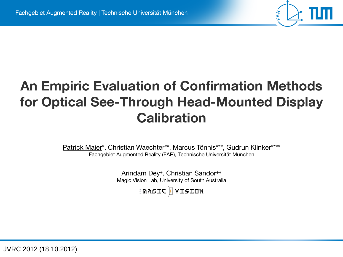# **An Empiric Evaluation of Confirmation Methods for Optical See-Through Head-Mounted Display Calibration**

Patrick Maier\*, Christian Waechter\*\*, Marcus Tönnis\*\*\*, Gudrun Klinker\*\*\*\* Fachgebiet Augmented Reality (FAR), Technische Universität München

> Arindam Dey<sup>+</sup>, Christian Sandor++ Magic Vision Lab, University of South Australia

> > ็ติภ6IC <mark>H</mark> YISION

JVRC 2012 (18.10.2012)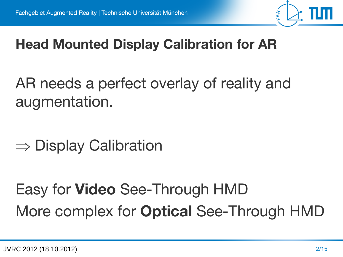

# **Head Mounted Display Calibration for AR**

AR needs a perfect overlay of reality and augmentation.

 $\Rightarrow$  Display Calibration

# Easy for **Video** See-Through HMD More complex for **Optical** See-Through HMD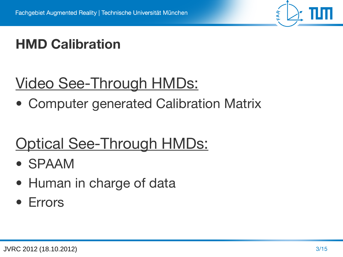

# **HMD Calibration**

# Video See-Through HMDs:

• Computer generated Calibration Matrix

# Optical See-Through HMDs:

- SPAAM
- Human in charge of data
- Errors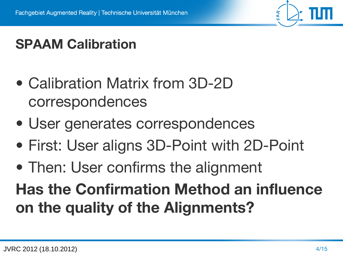# **SPAAM Calibration**

- Calibration Matrix from 3D-2D correspondences
- User generates correspondences
- First: User aligns 3D-Point with 2D-Point
- Then: User confirms the alignment

**Has the Confirmation Method an influence on the quality of the Alignments?**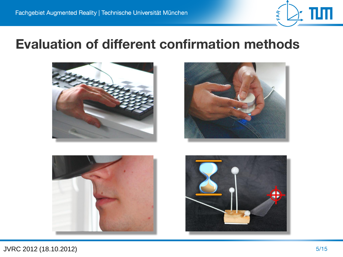

#### **Evaluation of different confirmation methods**







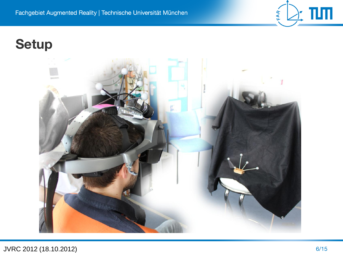### **Setup**



 $\frac{1}{2}$  TIM

FAR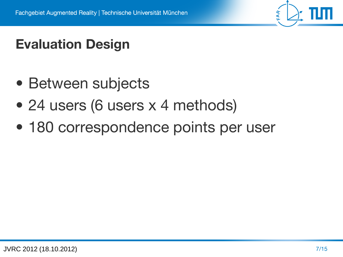

# **Evaluation Design**

- Between subjects
- 24 users (6 users x 4 methods)
- 180 correspondence points per user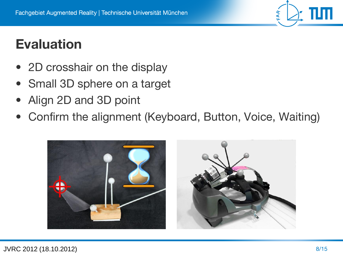### **Evaluation**

- 2D crosshair on the display
- Small 3D sphere on a target
- Align 2D and 3D point
- Confirm the alignment (Keyboard, Button, Voice, Waiting)



FAR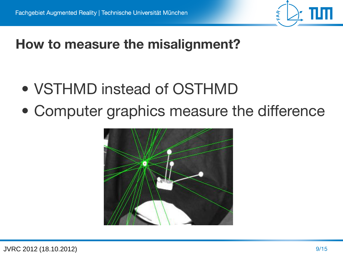

### **How to measure the misalignment?**

- VSTHMD instead of OSTHMD
- Computer graphics measure the difference

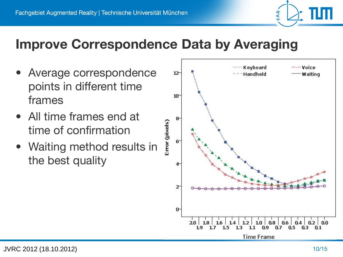

#### **Improve Correspondence Data by Averaging**

- Average correspondence points in different time frames
- All time frames end at time of confirmation
- Waiting method results in the best quality

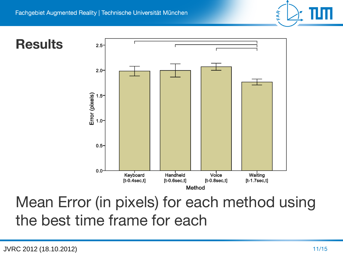FAR

#### **Results**



# Mean Error (in pixels) for each method using the best time frame for each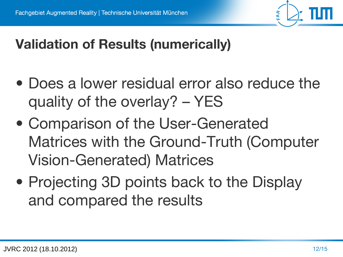# **Validation of Results (numerically)**

- Does a lower residual error also reduce the quality of the overlay? – YES
- Comparison of the User-Generated Matrices with the Ground-Truth (Computer Vision-Generated) Matrices
- Projecting 3D points back to the Display and compared the results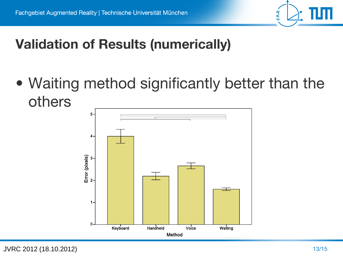

## **Validation of Results (numerically)**

• Waiting method significantly better than the others



JVRC 2012 (18.10.2012)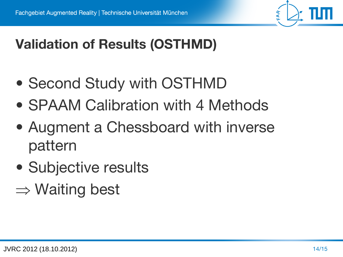

# **Validation of Results (OSTHMD)**

- Second Study with OSTHMD
- SPAAM Calibration with 4 Methods
- Augment a Chessboard with inverse pattern
- Subjective results
- $\Rightarrow$  Waiting best